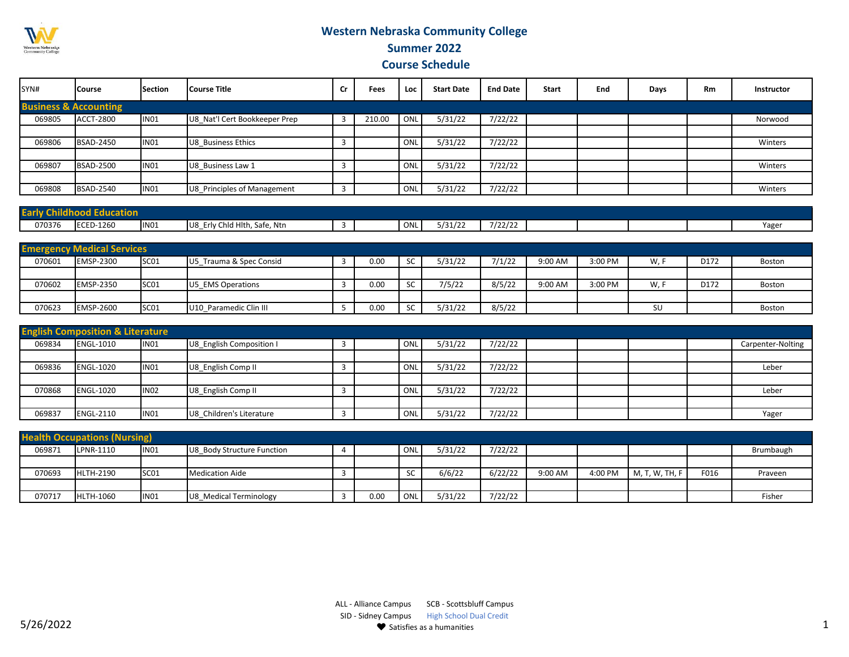

## **Western Nebraska Community College Summer 2022**

 **Course Schedule** 

| SYN#                             | <b>Course</b>    | <b>Section</b> | <b>Course Title</b>           | Cr | Fees   | Loc | <b>Start Date</b> | <b>End Date</b> | <b>Start</b> | End | Days | <b>Rm</b> | <b>Instructor</b> |
|----------------------------------|------------------|----------------|-------------------------------|----|--------|-----|-------------------|-----------------|--------------|-----|------|-----------|-------------------|
| <b>Business &amp; Accounting</b> |                  |                |                               |    |        |     |                   |                 |              |     |      |           |                   |
| 069805                           | <b>ACCT-2800</b> | <b>IN01</b>    | U8 Nat'l Cert Bookkeeper Prep |    | 210.00 | ONL | 5/31/22           | 7/22/22         |              |     |      |           | Norwood           |
|                                  |                  |                |                               |    |        |     |                   |                 |              |     |      |           |                   |
| 069806                           | <b>BSAD-2450</b> | IN01           | U8 Business Ethics            |    |        | ONL | 5/31/22           | 7/22/22         |              |     |      |           | Winters           |
|                                  |                  |                |                               |    |        |     |                   |                 |              |     |      |           |                   |
| 069807                           | <b>BSAD-2500</b> | <b>IN01</b>    | U8 Business Law 1             |    |        | ONL | 5/31/22           | 7/22/22         |              |     |      |           | Winters           |
|                                  |                  |                |                               |    |        |     |                   |                 |              |     |      |           |                   |
| 069808                           | <b>BSAD-2540</b> | IN01           | U8 Principles of Management   |    |        | ONL | 5/31/22           | 7/22/22         |              |     |      |           | Winters           |

| Early Cl | .<br>tion        |       |                                       |  |                      |                        |                   |  |  |      |
|----------|------------------|-------|---------------------------------------|--|----------------------|------------------------|-------------------|--|--|------|
| 070376   | <b>ECED-1260</b> | IIN01 | , Ntn<br>IU8<br>Erly Chld Hlth, Safe, |  | $\sim$ $\sim$<br>UNL | $\cdot$ $\sim$ $\cdot$ | 7/22/22<br>744744 |  |  | Yage |

|        | <b>Emergency Medical Services</b> |                  |                              |      |           |         |        |         |         |      |      |        |
|--------|-----------------------------------|------------------|------------------------------|------|-----------|---------|--------|---------|---------|------|------|--------|
| 070601 | <b>EMSP-2300</b>                  | SC <sub>01</sub> | 5 Trauma & Spec Consid<br>U5 | 0.00 | -SC       | 5/31/22 | 7/1/22 | 9:00 AM | 3:00 PM | W, I | D172 | Boston |
|        |                                   |                  |                              |      |           |         |        |         |         |      |      |        |
| 070602 | <b>EMSP-2350</b>                  | SC <sub>01</sub> | U5 EMS Operations            | 0.00 |           | 7/5/22  | 8/5/22 | 9:00 AM | 3:00 PM | W. F | D172 | Boston |
|        |                                   |                  |                              |      |           |         |        |         |         |      |      |        |
| 070623 | <b>EMSP-2600</b>                  | SC <sub>01</sub> | U10 Paramedic Clin III       | 0.00 | <b>SC</b> | 5/31/22 | 8/5/22 |         |         | SU   |      | Boston |

|        | <b>English Composition &amp; Literature</b> |                  |                          |  |     |         |         |  |  |                   |
|--------|---------------------------------------------|------------------|--------------------------|--|-----|---------|---------|--|--|-------------------|
| 069834 | <b>ENGL-1010</b>                            | <b>IN01</b>      | U8 English Composition I |  | ONL | 5/31/22 | 7/22/22 |  |  | Carpenter-Nolting |
|        |                                             |                  |                          |  |     |         |         |  |  |                   |
| 069836 | <b>ENGL-1020</b>                            | <b>IN01</b>      | U8 English Comp II       |  | ONL | 5/31/22 | 7/22/22 |  |  | Leber             |
|        |                                             |                  |                          |  |     |         |         |  |  |                   |
| 070868 | <b>ENGL-1020</b>                            | <b>IN02</b>      | U8 English Comp II       |  | ONL | 5/31/22 | 7/22/22 |  |  | Leber             |
|        |                                             |                  |                          |  |     |         |         |  |  |                   |
| 069837 | <b>ENGL-2110</b>                            | IN <sub>01</sub> | U8 Children's Literature |  | ONL | 5/31/22 | 7/22/22 |  |  | Yager             |

|        | <b>Health Occupations (Nursing)</b> |                  |                            |      |    |         |         |         |         |              |      |           |
|--------|-------------------------------------|------------------|----------------------------|------|----|---------|---------|---------|---------|--------------|------|-----------|
| 069871 | LPNR-1110                           | IN <sub>01</sub> | U8 Body Structure Function |      | ON | 5/31/22 | 7/22/22 |         |         |              |      | Brumbaugh |
|        |                                     |                  |                            |      |    |         |         |         |         |              |      |           |
| 070693 | <b>HLTH-2190</b>                    | SC <sub>01</sub> | Medication Aide            |      |    | 6/6/22  | 6/22/22 | 9:00 AM | 4:00 PM | M, T, W, TH, | F016 | Praveen   |
|        |                                     |                  |                            |      |    |         |         |         |         |              |      |           |
| 070717 | <b>HLTH-1060</b>                    | IN01             | U8 Medical Terminology     | 0.00 | ON | 5/31/22 | 7/22/22 |         |         |              |      | Fisher    |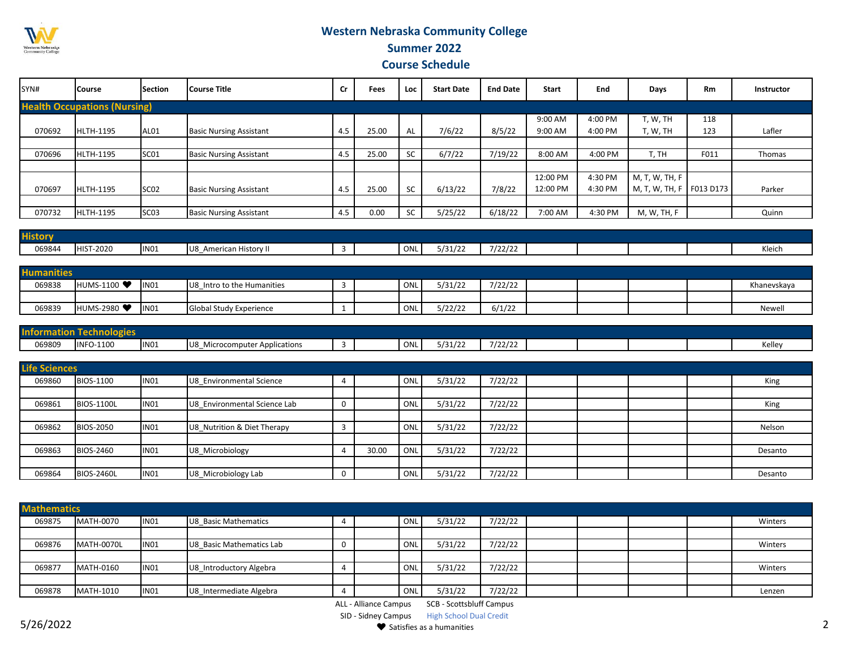

## **Western Nebraska Community College Summer 2022**

 **Course Schedule** 

| SYN#   | <b>Course</b>                       | <b>Section</b>   | <b>l</b> Course Title          | <b>Cr</b> | Fees  | Loc       | <b>Start Date</b> | <b>End Date</b> | <b>Start</b> | End     | Days                       | <b>Rm</b> | Instructor |
|--------|-------------------------------------|------------------|--------------------------------|-----------|-------|-----------|-------------------|-----------------|--------------|---------|----------------------------|-----------|------------|
|        | <b>Health Occupations (Nursing)</b> |                  |                                |           |       |           |                   |                 |              |         |                            |           |            |
|        |                                     |                  |                                |           |       |           |                   |                 | 9:00 AM      | 4:00 PM | T, W, TH                   | 118       |            |
| 070692 | <b>HLTH-1195</b>                    | AL01             | <b>Basic Nursing Assistant</b> | 4.5       | 25.00 | AL        | 7/6/22            | 8/5/22          | 9:00 AM      | 4:00 PM | T, W, TH                   | 123       | Lafler     |
|        |                                     |                  |                                |           |       |           |                   |                 |              |         |                            |           |            |
| 070696 | <b>HLTH-1195</b>                    | SC <sub>01</sub> | <b>Basic Nursing Assistant</b> | 4.5       | 25.00 | <b>SC</b> | 6/7/22            | 7/19/22         | 8:00 AM      | 4:00 PM | T, TH                      | F011      | Thomas     |
|        |                                     |                  |                                |           |       |           |                   |                 |              |         |                            |           |            |
|        |                                     |                  |                                |           |       |           |                   |                 | 12:00 PM     | 4:30 PM | M, T, W, TH, F             |           |            |
| 070697 | <b>HLTH-1195</b>                    | SC <sub>02</sub> | <b>Basic Nursing Assistant</b> | 4.5       | 25.00 | <b>SC</b> | 6/13/22           | 7/8/22          | 12:00 PM     | 4:30 PM | M, T, W, TH, F   F013 D173 |           | Parker     |
|        |                                     |                  |                                |           |       |           |                   |                 |              |         |                            |           |            |
| 070732 | <b>HLTH-1195</b>                    | SC <sub>03</sub> | <b>Basic Nursing Assistant</b> | 4.5       | 0.00  | <b>SC</b> | 5/25/22           | 6/18/22         | 7:00 AM      | 4:30 PM | M, W, TH, F                |           | Quinn      |

| 5/31/22<br>$\overline{\phantom{a}}$ $\overline{\phantom{a}}$<br>069844<br><b>HIST-2020</b><br><b>IN01</b><br>Kleich<br>IU8<br>American History II<br>722722<br>- טוש | $112 - 122 - 122$<br>HISTOM |  |  |  |  |  |  |  |
|----------------------------------------------------------------------------------------------------------------------------------------------------------------------|-----------------------------|--|--|--|--|--|--|--|
|                                                                                                                                                                      |                             |  |  |  |  |  |  |  |

| <b>Humanities</b> |                         |                  |                                |  |     |         |         |  |  |             |
|-------------------|-------------------------|------------------|--------------------------------|--|-----|---------|---------|--|--|-------------|
| 069838            | <b>HUMS-1100</b>        | IN <sub>01</sub> | Intro to the Humanities<br>lU8 |  | ONL | 5/31/22 | 7/22/22 |  |  | Khanevskaya |
|                   |                         |                  |                                |  |     |         |         |  |  |             |
| 069839            | HUMS-2980 <sup>●●</sup> | IN <sub>01</sub> | <b>Global Study Experience</b> |  | ONL | 5/22/22 | 6/1/22  |  |  | Newel       |

| 40n l  | 3159             |             |                                             |  |               |                       |         |  |  |                 |
|--------|------------------|-------------|---------------------------------------------|--|---------------|-----------------------|---------|--|--|-----------------|
| 069809 | <b>INFO-1100</b> | <b>IN01</b> | .<br>Microcomputer Applications<br>.<br>100 |  | $\sim$<br>UNL | $-1 - 1 - 1$<br>131/z | 7/22/22 |  |  | ے الہ ⁄<br>ישני |

| <b>Life Sciences</b> |                   |             |                              |             |       |     |         |         |  |  |         |
|----------------------|-------------------|-------------|------------------------------|-------------|-------|-----|---------|---------|--|--|---------|
| 069860               | <b>BIOS-1100</b>  | <b>IN01</b> | U8 Environmental Science     |             |       | ONL | 5/31/22 | 7/22/22 |  |  | King    |
|                      |                   |             |                              |             |       |     |         |         |  |  |         |
| 069861               | <b>BIOS-1100L</b> | <b>IN01</b> | U8 Environmental Science Lab | $\mathbf 0$ |       | ONL | 5/31/22 | 7/22/22 |  |  | King    |
|                      |                   |             |                              |             |       |     |         |         |  |  |         |
| 069862               | <b>BIOS-2050</b>  | <b>IN01</b> | U8 Nutrition & Diet Therapy  |             |       | ONL | 5/31/22 | 7/22/22 |  |  | Nelson  |
|                      |                   |             |                              |             |       |     |         |         |  |  |         |
| 069863               | BIOS-2460         | <b>IN01</b> | U8 Microbiology              | 4           | 30.00 | ONL | 5/31/22 | 7/22/22 |  |  | Desanto |
|                      |                   |             |                              |             |       |     |         |         |  |  |         |
| 069864               | <b>BIOS-2460L</b> | <b>IN01</b> | U8_Microbiology Lab          | 0           |       | ONL | 5/31/22 | 7/22/22 |  |  | Desanto |

| <b>Mathematics</b> |                   |                  |                          |  |     |         |         |  |  |         |
|--------------------|-------------------|------------------|--------------------------|--|-----|---------|---------|--|--|---------|
| 069875             | MATH-0070         | IN <sub>01</sub> | U8 Basic Mathematics     |  | ONI | 5/31/22 | 7/22/22 |  |  | Winters |
|                    |                   |                  |                          |  |     |         |         |  |  |         |
| 069876             | <b>MATH-0070L</b> | IN <sub>01</sub> | U8 Basic Mathematics Lab |  | ON  | 5/31/22 | 7/22/22 |  |  | Winters |
|                    |                   |                  |                          |  |     |         |         |  |  |         |
| 069877             | MATH-0160         | IN <sub>01</sub> | U8_Introductory Algebra  |  | ON  | 5/31/22 | 7/22/22 |  |  | Winters |
|                    |                   |                  |                          |  |     |         |         |  |  |         |
| 069878             | MATH-1010         | IN <sub>01</sub> | U8 Intermediate Algebra  |  | ONI | 5/31/22 | 7/22/22 |  |  | Lenzen  |

ALL - Alliance Campus SCB - Scottsbluff Campus

SID - Sidney Campus High School Dual Credit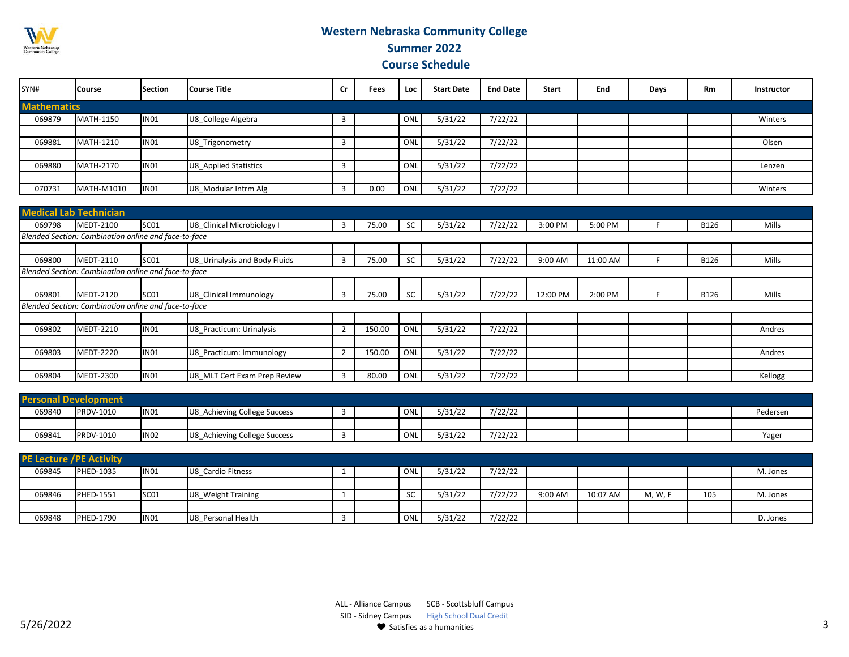

## **Western Nebraska Community College Summer 2022**

 **Course Schedule** 

| SYN#               | <b>Course</b>     | <b>Section</b>   | <b>l</b> Course Title | Cr | Fees | Loc | <b>Start Date</b> | <b>End Date</b> | <b>Start</b> | End | Days | <b>Rm</b> | Instructor |
|--------------------|-------------------|------------------|-----------------------|----|------|-----|-------------------|-----------------|--------------|-----|------|-----------|------------|
| <b>Mathematics</b> |                   |                  |                       |    |      |     |                   |                 |              |     |      |           |            |
| 069879             | <b>MATH-1150</b>  | <b>IN01</b>      | U8 College Algebra    | 3  |      | ON  | 5/31/22           | 7/22/22         |              |     |      |           | Winters    |
|                    |                   |                  |                       |    |      |     |                   |                 |              |     |      |           |            |
| 069881             | MATH-1210         | IN01             | U8_Trigonometry       |    |      | ON  | 5/31/22           | 7/22/22         |              |     |      |           | Olsen      |
|                    |                   |                  |                       |    |      |     |                   |                 |              |     |      |           |            |
| 069880             | <b>MATH-2170</b>  | IN01             | U8 Applied Statistics |    |      | ON  | 5/31/22           | 7/22/22         |              |     |      |           | Lenzen     |
|                    |                   |                  |                       |    |      |     |                   |                 |              |     |      |           |            |
| 070731             | <b>MATH-M1010</b> | IN <sub>01</sub> | U8 Modular Intrm Alg  |    | 0.00 | ON  | 5/31/22           | 7/22/22         |              |     |      |           | Winters    |

|        | <b>Medical Lab Technician</b>                        |                  |                               |                |        |           |         |         |          |          |             |         |
|--------|------------------------------------------------------|------------------|-------------------------------|----------------|--------|-----------|---------|---------|----------|----------|-------------|---------|
| 069798 | MEDT-2100                                            | SC <sub>01</sub> | U8 Clinical Microbiology I    | 3              | 75.00  | <b>SC</b> | 5/31/22 | 7/22/22 | 3:00 PM  | 5:00 PM  | B126        | Mills   |
|        | Blended Section: Combination online and face-to-face |                  |                               |                |        |           |         |         |          |          |             |         |
|        |                                                      |                  |                               |                |        |           |         |         |          |          |             |         |
| 069800 | MEDT-2110                                            | SC <sub>01</sub> | U8 Urinalysis and Body Fluids | 3              | 75.00  | SC        | 5/31/22 | 7/22/22 | 9:00 AM  | 11:00 AM | <b>B126</b> | Mills   |
|        | Blended Section: Combination online and face-to-face |                  |                               |                |        |           |         |         |          |          |             |         |
|        |                                                      |                  |                               |                |        |           |         |         |          |          |             |         |
| 069801 | <b>MEDT-2120</b>                                     | SC <sub>01</sub> | U8 Clinical Immunology        | 3              | 75.00  | SC        | 5/31/22 | 7/22/22 | 12:00 PM | 2:00 PM  | <b>B126</b> | Mills   |
|        | Blended Section: Combination online and face-to-face |                  |                               |                |        |           |         |         |          |          |             |         |
|        |                                                      |                  |                               |                |        |           |         |         |          |          |             |         |
| 069802 | MEDT-2210                                            | <b>IN01</b>      | U8 Practicum: Urinalysis      | $\overline{2}$ | 150.00 | ONL       | 5/31/22 | 7/22/22 |          |          |             | Andres  |
|        |                                                      |                  |                               |                |        |           |         |         |          |          |             |         |
| 069803 | <b>MEDT-2220</b>                                     | IN <sub>01</sub> | U8 Practicum: Immunology      | $\overline{2}$ | 150.00 | ONL       | 5/31/22 | 7/22/22 |          |          |             | Andres  |
|        |                                                      |                  |                               |                |        |           |         |         |          |          |             |         |
| 069804 | <b>MEDT-2300</b>                                     | IN <sub>01</sub> | U8 MLT Cert Exam Prep Review  | 3              | 80.00  | ONL       | 5/31/22 | 7/22/22 |          |          |             | Kellogg |

| <b>Personal Development</b> |           |                  |                                    |  |     |         |         |  |  |          |
|-----------------------------|-----------|------------------|------------------------------------|--|-----|---------|---------|--|--|----------|
| 069840                      | PRDV-1010 | IN <sub>01</sub> | 3 Achieving College Success<br>IU8 |  | ONL | 5/31/22 | 7/22/22 |  |  | Pedersen |
|                             |           |                  |                                    |  |     |         |         |  |  |          |
| 069841                      | PRDV-1010 | <b>IN02</b>      | ' Achieving College Success<br>IU8 |  | ONL | 5/31/22 | 7/22/22 |  |  | Yage     |

| <b>PE Lecture / PE Activity</b> |                  |                  |                    |  |           |         |         |         |          |         |     |          |
|---------------------------------|------------------|------------------|--------------------|--|-----------|---------|---------|---------|----------|---------|-----|----------|
| 069845                          | <b>PHED-1035</b> | IN <sub>01</sub> | U8 Cardio Fitness  |  | ONL       | 5/31/22 | 7/22/22 |         |          |         |     | M. Jones |
|                                 |                  |                  |                    |  |           |         |         |         |          |         |     |          |
| 069846                          | <b>PHED-1551</b> | SC <sub>01</sub> | U8 Weight Training |  | <b>SC</b> | 5/31/22 | 7/22/22 | 9:00 AM | 10:07 AM | M, W, F | 105 | M. Jones |
|                                 |                  |                  |                    |  |           |         |         |         |          |         |     |          |
| 069848                          | <b>PHED-1790</b> | <b>IN01</b>      | U8 Personal Health |  | ONL       | 5/31/22 | 7/22/22 |         |          |         |     | D. Jones |